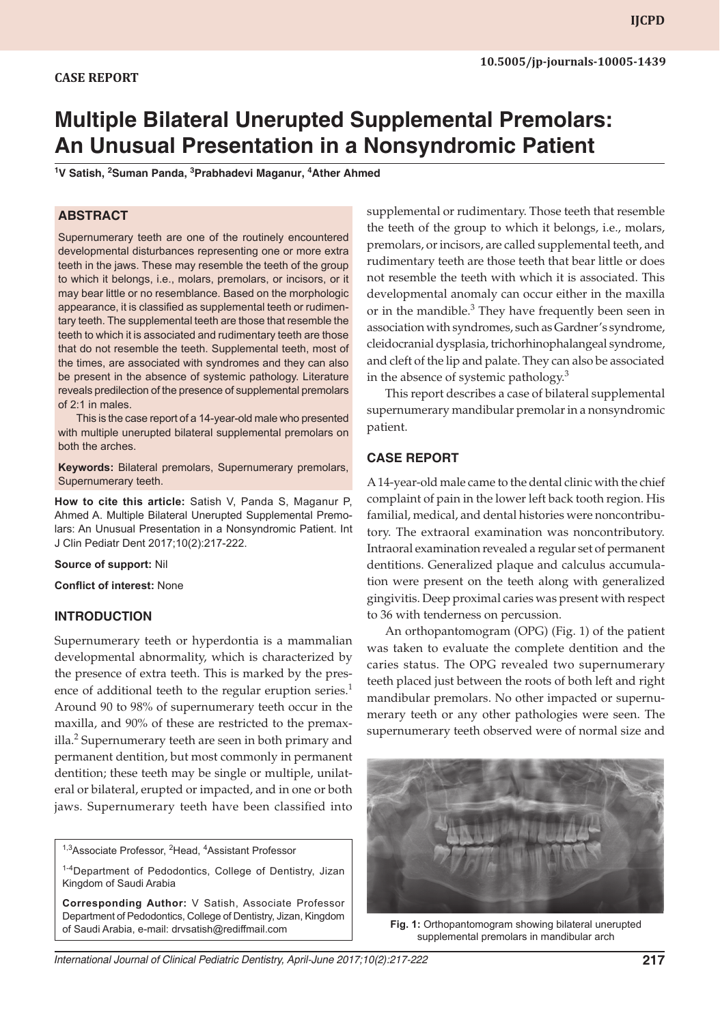#### **CASE REPORT**

# **Multiple Bilateral Unerupted Supplemental Premolars: An Unusual Presentation in a Nonsyndromic Patient**

<sup>1</sup>V Satish, <sup>2</sup>Suman Panda, <sup>3</sup>Prabhadevi Maganur, <sup>4</sup>Ather Ahmed

#### **ABSTRACT**

Supernumerary teeth are one of the routinely encountered developmental disturbances representing one or more extra teeth in the jaws. These may resemble the teeth of the group to which it belongs, i.e., molars, premolars, or incisors, or it may bear little or no resemblance. Based on the morphologic appearance, it is classified as supplemental teeth or rudimentary teeth. The supplemental teeth are those that resemble the teeth to which it is associated and rudimentary teeth are those that do not resemble the teeth. Supplemental teeth, most of the times, are associated with syndromes and they can also be present in the absence of systemic pathology. Literature reveals predilection of the presence of supplemental premolars of 2:1 in males.

This is the case report of a 14-year-old male who presented with multiple unerupted bilateral supplemental premolars on both the arches.

**Keywords:** Bilateral premolars, Supernumerary premolars, Supernumerary teeth.

**How to cite this article:** Satish V, Panda S, Maganur P, Ahmed A. Multiple Bilateral Unerupted Supplemental Premolars: An Unusual Presentation in a Nonsyndromic Patient. Int J Clin Pediatr Dent 2017;10(2):217-222.

**Source of support:** Nil

**Conflict of interest:** None

#### **INTRODUCTION**

Supernumerary teeth or hyperdontia is a mammalian developmental abnormality, which is characterized by the presence of extra teeth. This is marked by the presence of additional teeth to the regular eruption series.<sup>1</sup> Around 90 to 98% of supernumerary teeth occur in the maxilla, and 90% of these are restricted to the premaxilla.<sup>2</sup> Supernumerary teeth are seen in both primary and permanent dentition, but most commonly in permanent dentition; these teeth may be single or multiple, unilateral or bilateral, erupted or impacted, and in one or both jaws. Supernumerary teeth have been classified into

<sup>1,3</sup> Associate Professor, <sup>2</sup> Head, <sup>4</sup> Assistant Professor

1-4Department of Pedodontics, College of Dentistry, Jizan Kingdom of Saudi Arabia

**Corresponding Author:** V Satish, Associate Professor Department of Pedodontics, College of Dentistry, Jizan, Kingdom of Saudi Arabia, e-mail: drvsatish@rediffmail.com

supplemental or rudimentary. Those teeth that resemble the teeth of the group to which it belongs, i.e., molars, premolars, or incisors, are called supplemental teeth, and rudimentary teeth are those teeth that bear little or does not resemble the teeth with which it is associated. This developmental anomaly can occur either in the maxilla or in the mandible.<sup>3</sup> They have frequently been seen in association with syndromes, such as Gardner's syndrome, cleidocranial dysplasia, trichorhinophalangeal syndrome, and cleft of the lip and palate. They can also be associated in the absence of systemic pathology.<sup>3</sup>

This report describes a case of bilateral supplemental supernumerary mandibular premolar in a nonsyndromic patient.

#### **CASE REPORT**

A 14-year-old male came to the dental clinic with the chief complaint of pain in the lower left back tooth region. His familial, medical, and dental histories were noncontributory. The extraoral examination was noncontributory. Intraoral examination revealed a regular set of permanent dentitions. Generalized plaque and calculus accumulation were present on the teeth along with generalized gingivitis. Deep proximal caries was present with respect to 36 with tenderness on percussion.

An orthopantomogram (OPG) (Fig. 1) of the patient was taken to evaluate the complete dentition and the caries status. The OPG revealed two supernumerary teeth placed just between the roots of both left and right mandibular premolars. No other impacted or supernumerary teeth or any other pathologies were seen. The supernumerary teeth observed were of normal size and



**Fig. 1:** Orthopantomogram showing bilateral unerupted supplemental premolars in mandibular arch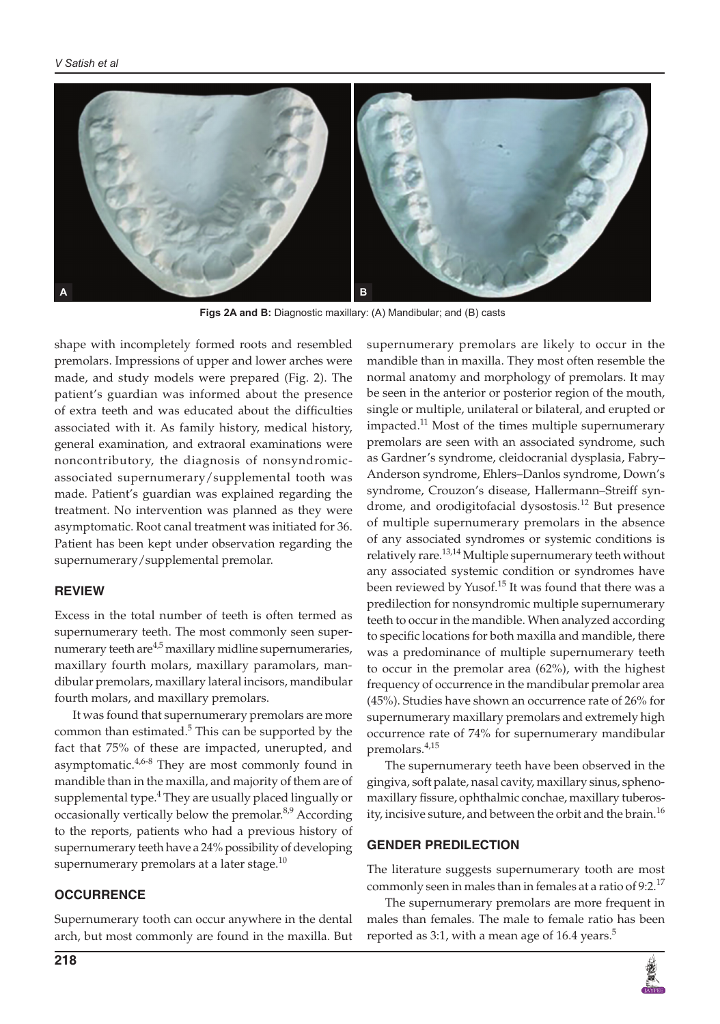

**Figs 2A and B:** Diagnostic maxillary: (A) Mandibular; and (B) casts

shape with incompletely formed roots and resembled premolars. Impressions of upper and lower arches were made, and study models were prepared (Fig. 2). The patient's guardian was informed about the presence of extra teeth and was educated about the difficulties associated with it. As family history, medical history, general examination, and extraoral examinations were noncontributory, the diagnosis of nonsyndromicassociated supernumerary/supplemental tooth was made. Patient's guardian was explained regarding the treatment. No intervention was planned as they were asymptomatic. Root canal treatment was initiated for 36. Patient has been kept under observation regarding the supernumerary/supplemental premolar.

#### **REVIEW**

Excess in the total number of teeth is often termed as supernumerary teeth. The most commonly seen supernumerary teeth are $4.5$  maxillary midline supernumeraries, maxillary fourth molars, maxillary paramolars, mandibular premolars, maxillary lateral incisors, mandibular fourth molars, and maxillary premolars.

It was found that supernumerary premolars are more common than estimated. $5$  This can be supported by the fact that 75% of these are impacted, unerupted, and asymptomatic. $4,6-8$  They are most commonly found in mandible than in the maxilla, and majority of them are of supplemental type.<sup>4</sup> They are usually placed lingually or occasionally vertically below the premolar.<sup>8,9</sup> According to the reports, patients who had a previous history of supernumerary teeth have a 24% possibility of developing supernumerary premolars at a later stage. $^{10}$ 

## **OCCURRENCE**

Supernumerary tooth can occur anywhere in the dental arch, but most commonly are found in the maxilla. But supernumerary premolars are likely to occur in the mandible than in maxilla. They most often resemble the normal anatomy and morphology of premolars. It may be seen in the anterior or posterior region of the mouth, single or multiple, unilateral or bilateral, and erupted or impacted.<sup>11</sup> Most of the times multiple supernumerary premolars are seen with an associated syndrome, such as Gardner's syndrome, cleidocranial dysplasia, Fabry– Anderson syndrome, Ehlers–Danlos syndrome, Down's syndrome, Crouzon's disease, Hallermann–Streiff syndrome, and orodigitofacial dysostosis.<sup>12</sup> But presence of multiple supernumerary premolars in the absence of any associated syndromes or systemic conditions is relatively rare.<sup>13,14</sup> Multiple supernumerary teeth without any associated systemic condition or syndromes have been reviewed by Yusof.<sup>15</sup> It was found that there was a predilection for nonsyndromic multiple supernumerary teeth to occur in the mandible. When analyzed according to specific locations for both maxilla and mandible, there was a predominance of multiple supernumerary teeth to occur in the premolar area (62%), with the highest frequency of occurrence in the mandibular premolar area (45%). Studies have shown an occurrence rate of 26% for supernumerary maxillary premolars and extremely high occurrence rate of 74% for supernumerary mandibular premolars.4,15

The supernumerary teeth have been observed in the gingiva, soft palate, nasal cavity, maxillary sinus, sphenomaxillary fissure, ophthalmic conchae, maxillary tuberosity, incisive suture, and between the orbit and the brain.<sup>16</sup>

#### **GENDER PREDILECTION**

The literature suggests supernumerary tooth are most commonly seen in males than in females at a ratio of 9:2.<sup>17</sup>

The supernumerary premolars are more frequent in males than females. The male to female ratio has been reported as 3:1, with a mean age of 16.4 years.<sup>5</sup>

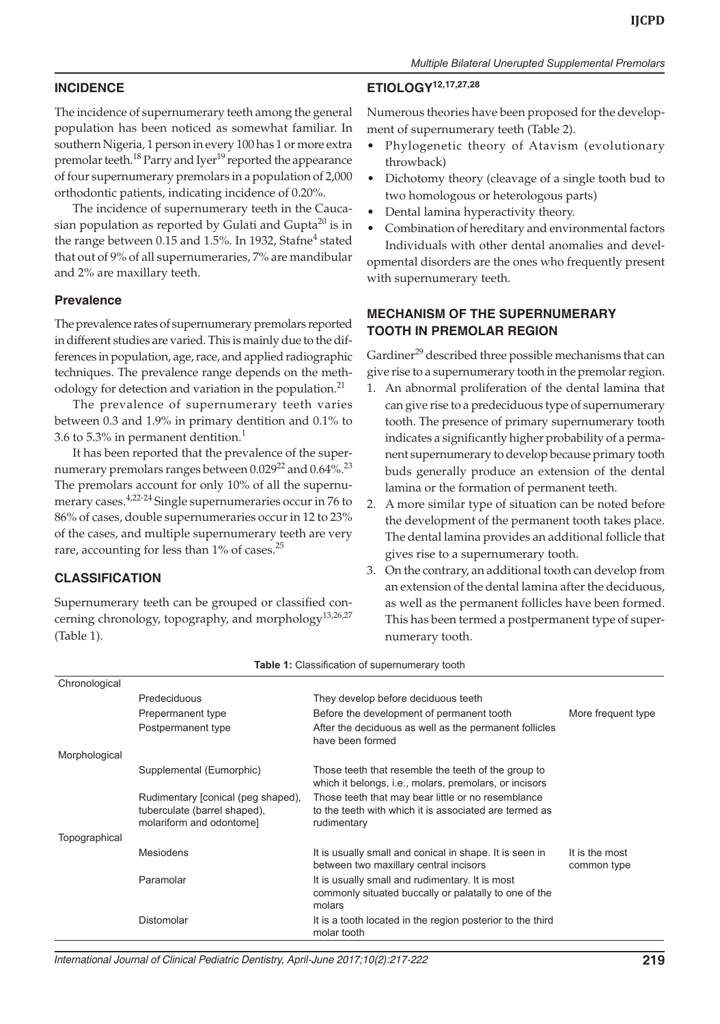# **INCIDENCE**

The incidence of supernumerary teeth among the general population has been noticed as somewhat familiar. In southern Nigeria, 1 person in every 100 has 1 or more extra premolar teeth.<sup>18</sup> Parry and Iyer<sup>19</sup> reported the appearance of four supernumerary premolars in a population of 2,000 orthodontic patients, indicating incidence of 0.20%.

The incidence of supernumerary teeth in the Caucasian population as reported by Gulati and Gupta<sup>20</sup> is in the range between 0.15 and 1.5%. In 1932, Stafne<sup>4</sup> stated that out of 9% of all supernumeraries, 7% are mandibular and 2% are maxillary teeth.

### **Prevalence**

The prevalence rates of supernumerary premolars reported in different studies are varied. This is mainly due to the differences in population, age, race, and applied radiographic techniques. The prevalence range depends on the methodology for detection and variation in the population.<sup>21</sup>

The prevalence of supernumerary teeth varies between 0.3 and 1.9% in primary dentition and 0.1% to 3.6 to 5.3% in permanent dentition.1

It has been reported that the prevalence of the supernumerary premolars ranges between  $0.029^{22}$  and  $0.64\%$ .<sup>23</sup> The premolars account for only 10% of all the supernumerary cases.4,22-24 Single supernumeraries occur in 76 to 86% of cases, double supernumeraries occur in 12 to 23% of the cases, and multiple supernumerary teeth are very rare, accounting for less than  $1\%$  of cases.<sup>25</sup>

# **CLASSIFICATION**

Supernumerary teeth can be grouped or classified concerning chronology, topography, and morphology $13,26,27$ (Table 1).

# **ETIOLOGY12,17,27,28**

Numerous theories have been proposed for the development of supernumerary teeth (Table 2).

- • Phylogenetic theory of Atavism (evolutionary throwback)
- Dichotomy theory (cleavage of a single tooth bud to two homologous or heterologous parts)
- Dental lamina hyperactivity theory.
- • Combination of hereditary and environmental factors Individuals with other dental anomalies and devel-

opmental disorders are the ones who frequently present with supernumerary teeth.

# **MECHANISM OF THE SUPERNUMERARY TOOTH IN PREMOLAR REGION**

Gardiner<sup>29</sup> described three possible mechanisms that can give rise to a supernumerary tooth in the premolar region.

- 1. An abnormal proliferation of the dental lamina that can give rise to a predeciduous type of supernumerary tooth. The presence of primary supernumerary tooth indicates a significantly higher probability of a permanent supernumerary to develop because primary tooth buds generally produce an extension of the dental lamina or the formation of permanent teeth.
- 2. A more similar type of situation can be noted before the development of the permanent tooth takes place. The dental lamina provides an additional follicle that gives rise to a supernumerary tooth.
- 3. On the contrary, an additional tooth can develop from an extension of the dental lamina after the deciduous, as well as the permanent follicles have been formed. This has been termed a postpermanent type of supernumerary tooth.

| Chronological |                                                                                                |                                                                                                                             |                               |
|---------------|------------------------------------------------------------------------------------------------|-----------------------------------------------------------------------------------------------------------------------------|-------------------------------|
|               | Predeciduous                                                                                   | They develop before deciduous teeth                                                                                         |                               |
|               | Prepermanent type                                                                              | Before the development of permanent tooth                                                                                   | More frequent type            |
|               | Postpermanent type                                                                             | After the deciduous as well as the permanent follicles<br>have been formed                                                  |                               |
| Morphological |                                                                                                |                                                                                                                             |                               |
|               | Supplemental (Eumorphic)                                                                       | Those teeth that resemble the teeth of the group to<br>which it belongs, i.e., molars, premolars, or incisors               |                               |
|               | Rudimentary [conical (peg shaped),<br>tuberculate (barrel shaped),<br>molariform and odontome] | Those teeth that may bear little or no resemblance<br>to the teeth with which it is associated are termed as<br>rudimentary |                               |
| Topographical |                                                                                                |                                                                                                                             |                               |
|               | Mesiodens                                                                                      | It is usually small and conical in shape. It is seen in<br>between two maxillary central incisors                           | It is the most<br>common type |
|               | Paramolar                                                                                      | It is usually small and rudimentary. It is most<br>commonly situated buccally or palatally to one of the<br>molars          |                               |
|               | Distomolar                                                                                     | It is a tooth located in the region posterior to the third<br>molar tooth                                                   |                               |

#### **Table 1:** Classification of supernumerary tooth

International Journal of Clinical Pediatric Dentistry, April-June 2017;10(2):217-222 **219**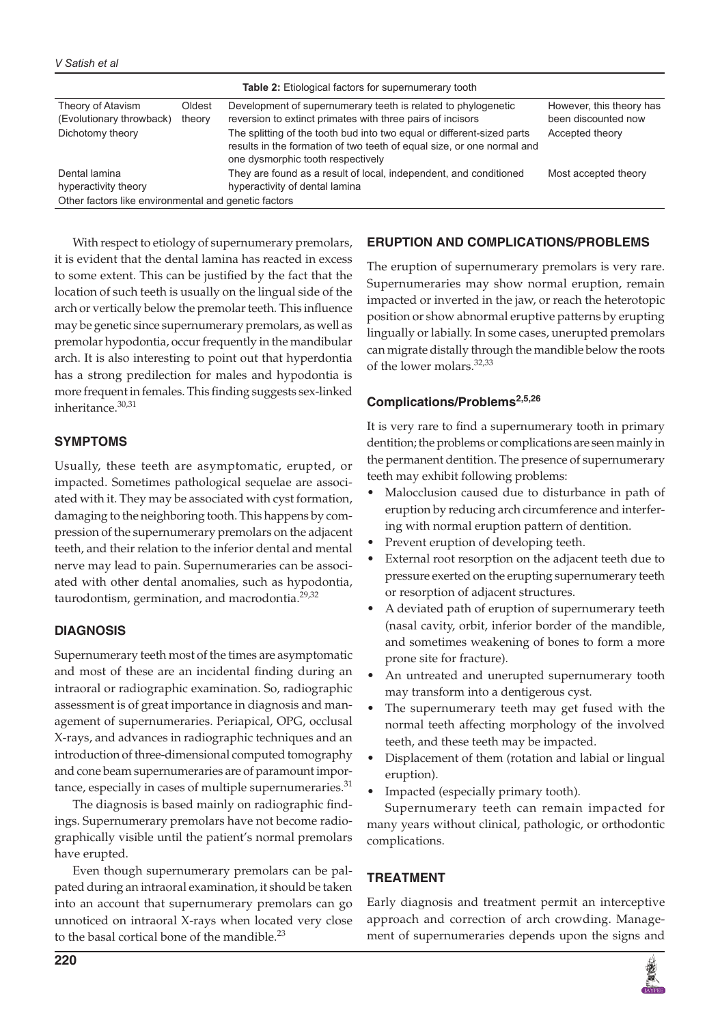| <b>Table 2:</b> Etiological factors for supernumerary tooth                                   |                  |                                                                                                                                                                                       |                                                 |  |  |
|-----------------------------------------------------------------------------------------------|------------------|---------------------------------------------------------------------------------------------------------------------------------------------------------------------------------------|-------------------------------------------------|--|--|
| Theory of Atavism<br>(Evolutionary throwback)                                                 | Oldest<br>theory | Development of supernumerary teeth is related to phylogenetic<br>reversion to extinct primates with three pairs of incisors                                                           | However, this theory has<br>been discounted now |  |  |
| Dichotomy theory                                                                              |                  | The splitting of the tooth bud into two equal or different-sized parts<br>results in the formation of two teeth of equal size, or one normal and<br>one dysmorphic tooth respectively | Accepted theory                                 |  |  |
| Dental lamina<br>hyperactivity theory<br>Other factors like environmental and genetic factors |                  | They are found as a result of local, independent, and conditioned<br>hyperactivity of dental lamina                                                                                   | Most accepted theory                            |  |  |

With respect to etiology of supernumerary premolars, it is evident that the dental lamina has reacted in excess to some extent. This can be justified by the fact that the location of such teeth is usually on the lingual side of the arch or vertically below the premolar teeth. This influence may be genetic since supernumerary premolars, as well as premolar hypodontia, occur frequently in the mandibular arch. It is also interesting to point out that hyperdontia has a strong predilection for males and hypodontia is more frequent in females. This finding suggests sex-linked inheritance.<sup>30,31</sup>

# **SYMPTOMS**

Usually, these teeth are asymptomatic, erupted, or impacted. Sometimes pathological sequelae are associated with it. They may be associated with cyst formation, damaging to the neighboring tooth. This happens by compression of the supernumerary premolars on the adjacent teeth, and their relation to the inferior dental and mental nerve may lead to pain. Supernumeraries can be associated with other dental anomalies, such as hypodontia, taurodontism, germination, and macrodontia.<sup>29,32</sup>

## **DIAGNOSIS**

Supernumerary teeth most of the times are asymptomatic and most of these are an incidental finding during an intraoral or radiographic examination. So, radiographic assessment is of great importance in diagnosis and management of supernumeraries. Periapical, OPG, occlusal X-rays, and advances in radiographic techniques and an introduction of three-dimensional computed tomography and cone beam supernumeraries are of paramount importance, especially in cases of multiple supernumeraries. $^{31}$ 

The diagnosis is based mainly on radiographic findings. Supernumerary premolars have not become radiographically visible until the patient's normal premolars have erupted.

Even though supernumerary premolars can be palpated during an intraoral examination, it should be taken into an account that supernumerary premolars can go unnoticed on intraoral X-rays when located very close to the basal cortical bone of the mandible.<sup>23</sup>

# **ERUPTION AND COMPLICATIONS/PROBLEMS**

The eruption of supernumerary premolars is very rare. Supernumeraries may show normal eruption, remain impacted or inverted in the jaw, or reach the heterotopic position or show abnormal eruptive patterns by erupting lingually or labially. In some cases, unerupted premolars can migrate distally through the mandible below the roots of the lower molars.<sup>32,33</sup>

# **Complications/Problems2,5,26**

It is very rare to find a supernumerary tooth in primary dentition; the problems or complications are seen mainly in the permanent dentition. The presence of supernumerary teeth may exhibit following problems:

- Malocclusion caused due to disturbance in path of eruption by reducing arch circumference and interfering with normal eruption pattern of dentition.
- Prevent eruption of developing teeth.
- External root resorption on the adjacent teeth due to pressure exerted on the erupting supernumerary teeth or resorption of adjacent structures.
- A deviated path of eruption of supernumerary teeth (nasal cavity, orbit, inferior border of the mandible, and sometimes weakening of bones to form a more prone site for fracture).
- An untreated and unerupted supernumerary tooth may transform into a dentigerous cyst.
- • The supernumerary teeth may get fused with the normal teeth affecting morphology of the involved teeth, and these teeth may be impacted.
- • Displacement of them (rotation and labial or lingual eruption).
- Impacted (especially primary tooth).

Supernumerary teeth can remain impacted for many years without clinical, pathologic, or orthodontic complications.

# **TREATMENT**

Early diagnosis and treatment permit an interceptive approach and correction of arch crowding. Management of supernumeraries depends upon the signs and

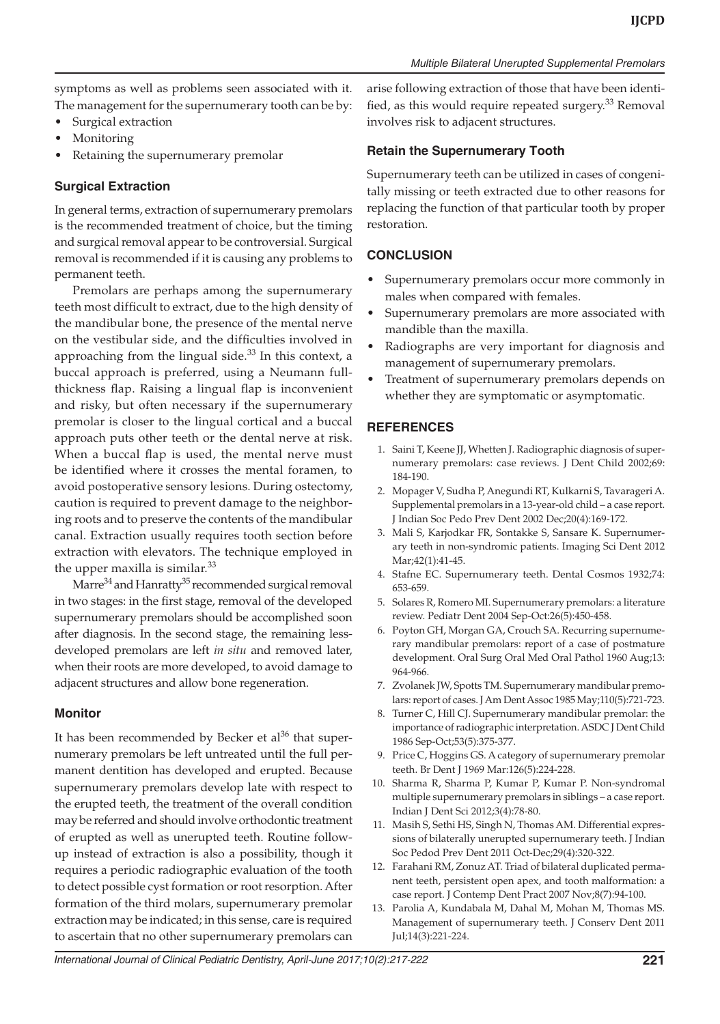symptoms as well as problems seen associated with it. The management for the supernumerary tooth can be by:

- Surgical extraction
- **Monitoring**
- Retaining the supernumerary premolar

## **Surgical Extraction**

In general terms, extraction of supernumerary premolars is the recommended treatment of choice, but the timing and surgical removal appear to be controversial. Surgical removal is recommended if it is causing any problems to permanent teeth.

Premolars are perhaps among the supernumerary teeth most difficult to extract, due to the high density of the mandibular bone, the presence of the mental nerve on the vestibular side, and the difficulties involved in approaching from the lingual side.<sup>33</sup> In this context, a buccal approach is preferred, using a Neumann fullthickness flap. Raising a lingual flap is inconvenient and risky, but often necessary if the supernumerary premolar is closer to the lingual cortical and a buccal approach puts other teeth or the dental nerve at risk. When a buccal flap is used, the mental nerve must be identified where it crosses the mental foramen, to avoid postoperative sensory lesions. During ostectomy, caution is required to prevent damage to the neighboring roots and to preserve the contents of the mandibular canal. Extraction usually requires tooth section before extraction with elevators. The technique employed in the upper maxilla is similar.<sup>33</sup>

Marre $34$  and Hanratty $35$  recommended surgical removal in two stages: in the first stage, removal of the developed supernumerary premolars should be accomplished soon after diagnosis. In the second stage, the remaining lessdeveloped premolars are left *in situ* and removed later, when their roots are more developed, to avoid damage to adjacent structures and allow bone regeneration.

## **Monitor**

It has been recommended by Becker et  $al^{36}$  that supernumerary premolars be left untreated until the full permanent dentition has developed and erupted. Because supernumerary premolars develop late with respect to the erupted teeth, the treatment of the overall condition may be referred and should involve orthodontic treatment of erupted as well as unerupted teeth. Routine followup instead of extraction is also a possibility, though it requires a periodic radiographic evaluation of the tooth to detect possible cyst formation or root resorption. After formation of the third molars, supernumerary premolar extraction may be indicated; in this sense, care is required to ascertain that no other supernumerary premolars can

arise following extraction of those that have been identified, as this would require repeated surgery.<sup>33</sup> Removal involves risk to adjacent structures.

## **Retain the Supernumerary Tooth**

Supernumerary teeth can be utilized in cases of congenitally missing or teeth extracted due to other reasons for replacing the function of that particular tooth by proper restoration.

## **CONCLUSION**

- Supernumerary premolars occur more commonly in males when compared with females.
- Supernumerary premolars are more associated with mandible than the maxilla.
- Radiographs are very important for diagnosis and management of supernumerary premolars.
- Treatment of supernumerary premolars depends on whether they are symptomatic or asymptomatic.

## **REFERENCES**

- 1. Saini T, Keene JJ, Whetten J. Radiographic diagnosis of supernumerary premolars: case reviews. J Dent Child 2002;69: 184-190.
- 2. Mopager V, Sudha P, Anegundi RT, Kulkarni S, Tavarageri A. Supplemental premolars in a 13-year-old child – a case report. J Indian Soc Pedo Prev Dent 2002 Dec;20(4):169-172.
- 3. Mali S, Karjodkar FR, Sontakke S, Sansare K. Supernumerary teeth in non-syndromic patients. Imaging Sci Dent 2012 Mar;42(1):41-45.
- 4. Stafne EC. Supernumerary teeth. Dental Cosmos 1932;74: 653-659.
- 5. Solares R, Romero MI. Supernumerary premolars: a literature review. Pediatr Dent 2004 Sep-Oct:26(5):450-458.
- 6. Poyton GH, Morgan GA, Crouch SA. Recurring supernumerary mandibular premolars: report of a case of postmature development. Oral Surg Oral Med Oral Pathol 1960 Aug;13: 964-966.
- 7. Zvolanek JW, Spotts TM. Supernumerary mandibular premolars: report of cases. J Am Dent Assoc 1985 May;110(5):721-723.
- 8. Turner C, Hill CJ. Supernumerary mandibular premolar: the importance of radiographic interpretation. ASDC J Dent Child 1986 Sep-Oct;53(5):375-377.
- 9. Price C, Hoggins GS. A category of supernumerary premolar teeth. Br Dent J 1969 Mar:126(5):224-228.
- 10. Sharma R, Sharma P, Kumar P, Kumar P. Non-syndromal multiple supernumerary premolars in siblings – a case report. Indian J Dent Sci 2012;3(4):78-80.
- 11. Masih S, Sethi HS, Singh N, Thomas AM. Differential expressions of bilaterally unerupted supernumerary teeth. J Indian Soc Pedod Prev Dent 2011 Oct-Dec;29(4):320-322.
- 12. Farahani RM, Zonuz AT. Triad of bilateral duplicated permanent teeth, persistent open apex, and tooth malformation: a case report. J Contemp Dent Pract 2007 Nov;8(7):94-100.
- 13. Parolia A, Kundabala M, Dahal M, Mohan M, Thomas MS. Management of supernumerary teeth. J Conserv Dent 2011 Jul;14(3):221-224.

International Journal of Clinical Pediatric Dentistry, April-June 2017;10(2):217-222 **221**